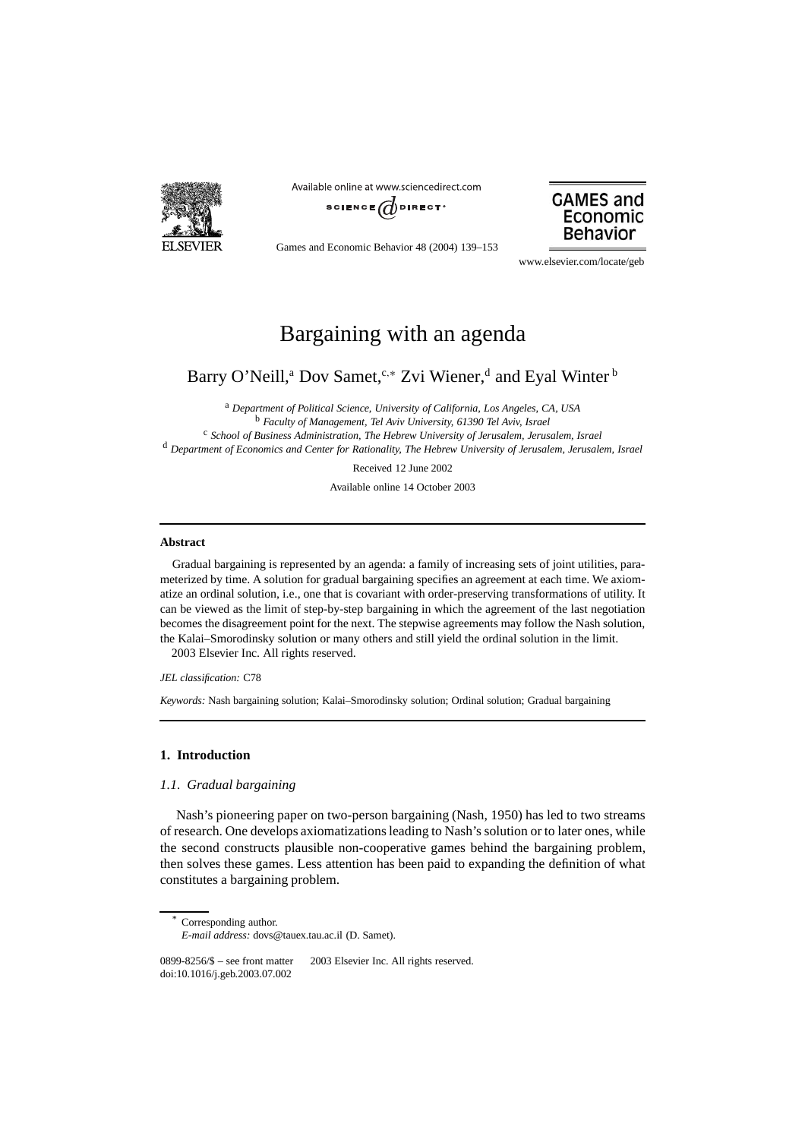

Available online at www.sciencedirect.com SCIENCE  $\overrightarrow{a}$  DIRECT<sup>®</sup>



Games and Economic Behavior 48 (2004) 139–153

www.elsevier.com/locate/geb

# Bargaining with an agenda

# Barry O'Neill,<sup>a</sup> Dov Samet,<sup>c,∗</sup> Zvi Wiener,<sup>d</sup> and Eyal Winter <sup>b</sup>

<sup>a</sup> *Department of Political Science, University of California, Los Angeles, CA, USA* <sup>b</sup> *Faculty of Management, Tel Aviv University, 61390 Tel Aviv, Israel* <sup>c</sup> *School of Business Administration, The Hebrew University of Jerusalem, Jerusalem, Israel* <sup>d</sup> *Department of Economics and Center for Rationality, The Hebrew University of Jerusalem, Jerusalem, Israel*

Received 12 June 2002

Available online 14 October 2003

# **Abstract**

Gradual bargaining is represented by an agenda: a family of increasing sets of joint utilities, parameterized by time. A solution for gradual bargaining specifies an agreement at each time. We axiomatize an ordinal solution, i.e., one that is covariant with order-preserving transformations of utility. It can be viewed as the limit of step-by-step bargaining in which the agreement of the last negotiation becomes the disagreement point for the next. The stepwise agreements may follow the Nash solution, the Kalai–Smorodinsky solution or many others and still yield the ordinal solution in the limit. 2003 Elsevier Inc. All rights reserved.

*JEL classification:* C78

*Keywords:* Nash bargaining solution; Kalai–Smorodinsky solution; Ordinal solution; Gradual bargaining

#### **1. Introduction**

# *1.1. Gradual bargaining*

Nash's pioneering paper on two-person bargaining (Nash, 1950) has led to two streams of research. One develops axiomatizations leading to Nash's solution or to later ones, while the second constructs plausible non-cooperative games behind the bargaining problem, then solves these games. Less attention has been paid to expanding the definition of what constitutes a bargaining problem.

Corresponding author. *E-mail address:* dovs@tauex.tau.ac.il (D. Samet).

<sup>0899-8256/\$ –</sup> see front matter  $\odot$  2003 Elsevier Inc. All rights reserved. doi:10.1016/j.geb.2003.07.002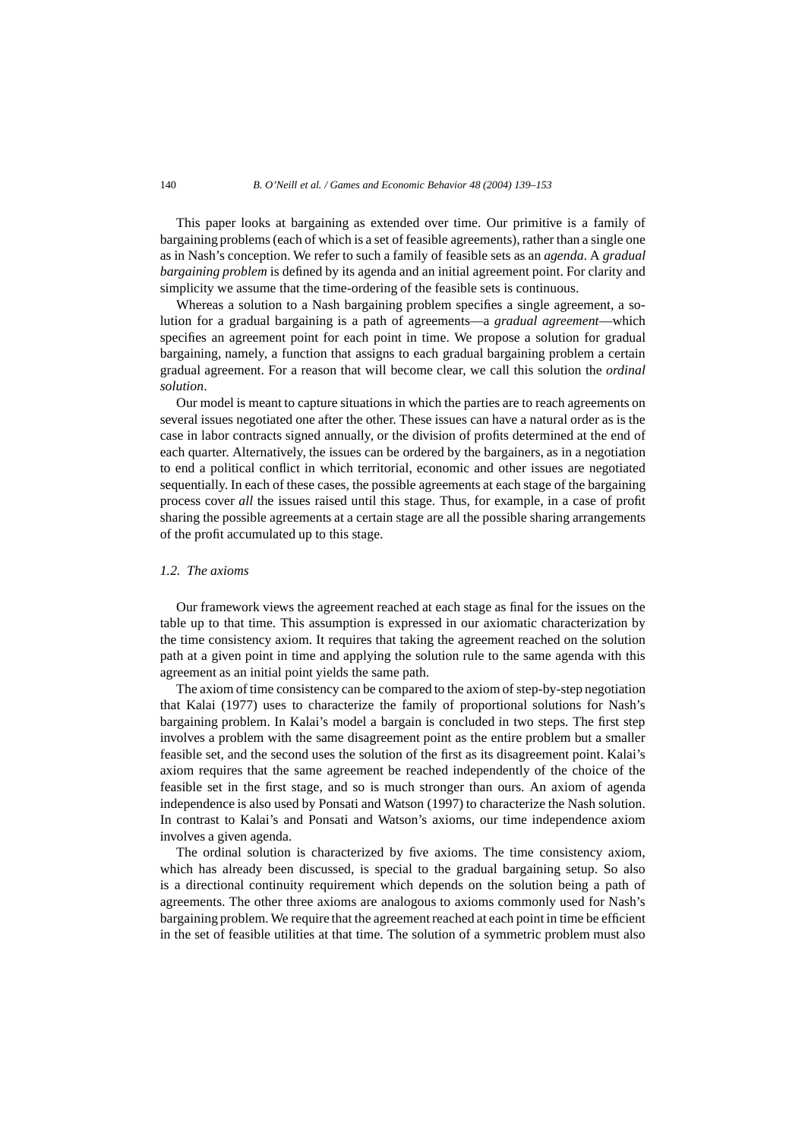#### 140 *B. O'Neill et al. / Games and Economic Behavior 48 (2004) 139–153*

This paper looks at bargaining as extended over time. Our primitive is a family of bargaining problems (each of which is a set of feasible agreements), rather than a single one as in Nash's conception. We refer to such a family of feasible sets as an *agenda*. A *gradual bargaining problem* is defined by its agenda and an initial agreement point. For clarity and simplicity we assume that the time-ordering of the feasible sets is continuous.

Whereas a solution to a Nash bargaining problem specifies a single agreement, a solution for a gradual bargaining is a path of agreements—a *gradual agreement*—which specifies an agreement point for each point in time. We propose a solution for gradual bargaining, namely, a function that assigns to each gradual bargaining problem a certain gradual agreement. For a reason that will become clear, we call this solution the *ordinal solution*.

Our model is meant to capture situations in which the parties are to reach agreements on several issues negotiated one after the other. These issues can have a natural order as is the case in labor contracts signed annually, or the division of profits determined at the end of each quarter. Alternatively, the issues can be ordered by the bargainers, as in a negotiation to end a political conflict in which territorial, economic and other issues are negotiated sequentially. In each of these cases, the possible agreements at each stage of the bargaining process cover *all* the issues raised until this stage. Thus, for example, in a case of profit sharing the possible agreements at a certain stage are all the possible sharing arrangements of the profit accumulated up to this stage.

# *1.2. The axioms*

Our framework views the agreement reached at each stage as final for the issues on the table up to that time. This assumption is expressed in our axiomatic characterization by the time consistency axiom. It requires that taking the agreement reached on the solution path at a given point in time and applying the solution rule to the same agenda with this agreement as an initial point yields the same path.

The axiom of time consistency can be compared to the axiom of step-by-step negotiation that Kalai (1977) uses to characterize the family of proportional solutions for Nash's bargaining problem. In Kalai's model a bargain is concluded in two steps. The first step involves a problem with the same disagreement point as the entire problem but a smaller feasible set, and the second uses the solution of the first as its disagreement point. Kalai's axiom requires that the same agreement be reached independently of the choice of the feasible set in the first stage, and so is much stronger than ours. An axiom of agenda independence is also used by Ponsati and Watson (1997) to characterize the Nash solution. In contrast to Kalai's and Ponsati and Watson's axioms, our time independence axiom involves a given agenda.

The ordinal solution is characterized by five axioms. The time consistency axiom, which has already been discussed, is special to the gradual bargaining setup. So also is a directional continuity requirement which depends on the solution being a path of agreements. The other three axioms are analogous to axioms commonly used for Nash's bargaining problem. We require that the agreement reached at each point in time be efficient in the set of feasible utilities at that time. The solution of a symmetric problem must also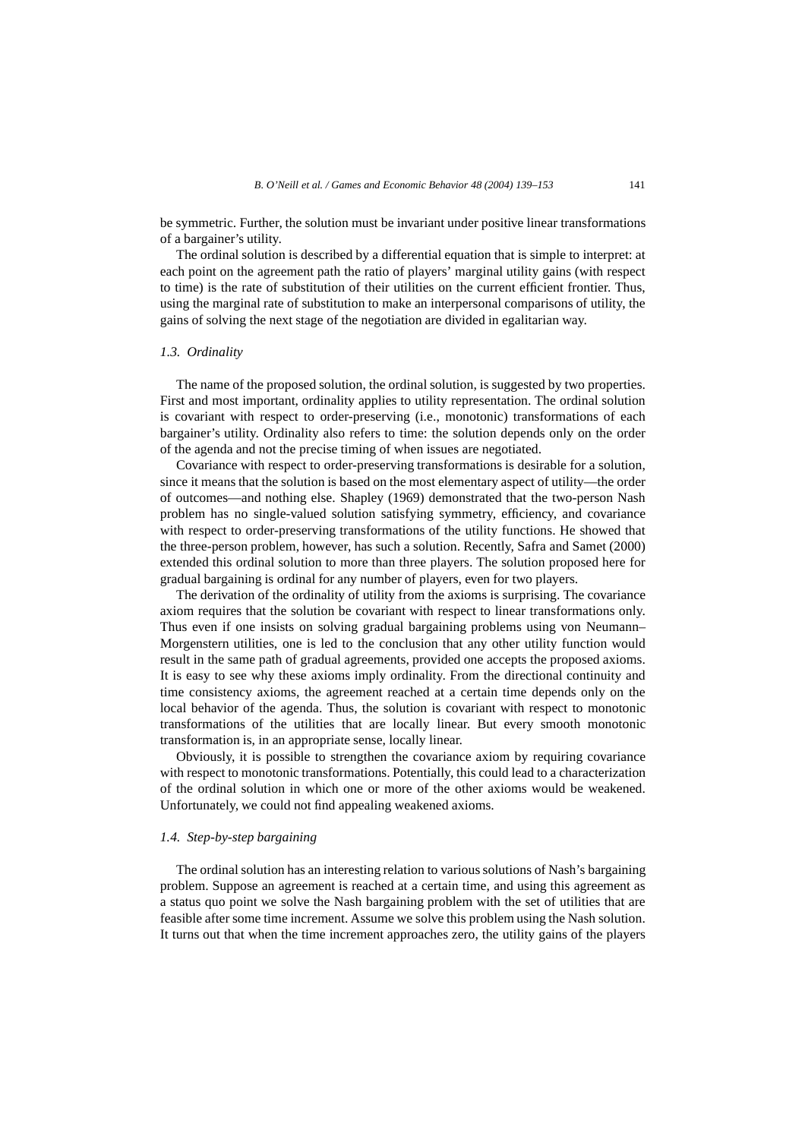be symmetric. Further, the solution must be invariant under positive linear transformations of a bargainer's utility.

The ordinal solution is described by a differential equation that is simple to interpret: at each point on the agreement path the ratio of players' marginal utility gains (with respect to time) is the rate of substitution of their utilities on the current efficient frontier. Thus, using the marginal rate of substitution to make an interpersonal comparisons of utility, the gains of solving the next stage of the negotiation are divided in egalitarian way.

# *1.3. Ordinality*

The name of the proposed solution, the ordinal solution, is suggested by two properties. First and most important, ordinality applies to utility representation. The ordinal solution is covariant with respect to order-preserving (i.e., monotonic) transformations of each bargainer's utility. Ordinality also refers to time: the solution depends only on the order of the agenda and not the precise timing of when issues are negotiated.

Covariance with respect to order-preserving transformations is desirable for a solution, since it means that the solution is based on the most elementary aspect of utility—the order of outcomes—and nothing else. Shapley (1969) demonstrated that the two-person Nash problem has no single-valued solution satisfying symmetry, efficiency, and covariance with respect to order-preserving transformations of the utility functions. He showed that the three-person problem, however, has such a solution. Recently, Safra and Samet (2000) extended this ordinal solution to more than three players. The solution proposed here for gradual bargaining is ordinal for any number of players, even for two players.

The derivation of the ordinality of utility from the axioms is surprising. The covariance axiom requires that the solution be covariant with respect to linear transformations only. Thus even if one insists on solving gradual bargaining problems using von Neumann– Morgenstern utilities, one is led to the conclusion that any other utility function would result in the same path of gradual agreements, provided one accepts the proposed axioms. It is easy to see why these axioms imply ordinality. From the directional continuity and time consistency axioms, the agreement reached at a certain time depends only on the local behavior of the agenda. Thus, the solution is covariant with respect to monotonic transformations of the utilities that are locally linear. But every smooth monotonic transformation is, in an appropriate sense, locally linear.

Obviously, it is possible to strengthen the covariance axiom by requiring covariance with respect to monotonic transformations. Potentially, this could lead to a characterization of the ordinal solution in which one or more of the other axioms would be weakened. Unfortunately, we could not find appealing weakened axioms.

#### *1.4. Step-by-step bargaining*

The ordinal solution has an interesting relation to various solutions of Nash's bargaining problem. Suppose an agreement is reached at a certain time, and using this agreement as a status quo point we solve the Nash bargaining problem with the set of utilities that are feasible after some time increment. Assume we solve this problem using the Nash solution. It turns out that when the time increment approaches zero, the utility gains of the players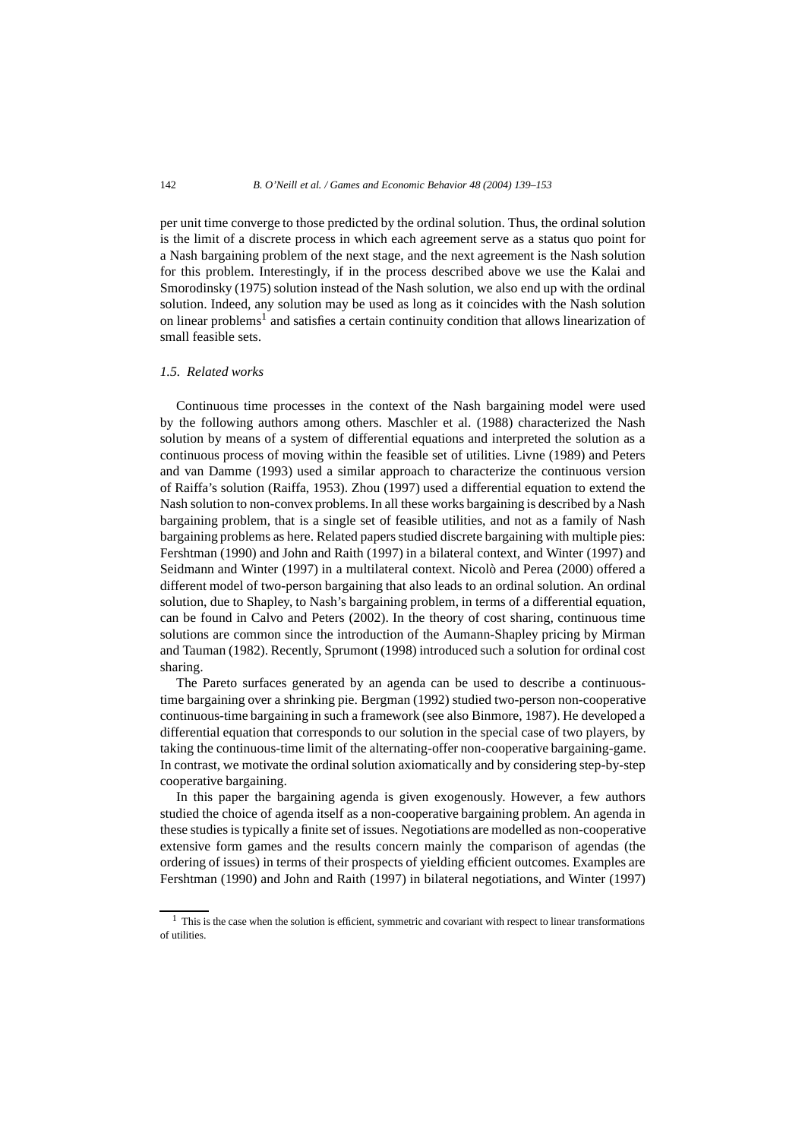#### 142 *B. O'Neill et al. / Games and Economic Behavior 48 (2004) 139–153*

per unit time converge to those predicted by the ordinal solution. Thus, the ordinal solution is the limit of a discrete process in which each agreement serve as a status quo point for a Nash bargaining problem of the next stage, and the next agreement is the Nash solution for this problem. Interestingly, if in the process described above we use the Kalai and Smorodinsky (1975) solution instead of the Nash solution, we also end up with the ordinal solution. Indeed, any solution may be used as long as it coincides with the Nash solution on linear problems<sup>1</sup> and satisfies a certain continuity condition that allows linearization of small feasible sets.

#### *1.5. Related works*

Continuous time processes in the context of the Nash bargaining model were used by the following authors among others. Maschler et al. (1988) characterized the Nash solution by means of a system of differential equations and interpreted the solution as a continuous process of moving within the feasible set of utilities. Livne (1989) and Peters and van Damme (1993) used a similar approach to characterize the continuous version of Raiffa's solution (Raiffa, 1953). Zhou (1997) used a differential equation to extend the Nash solution to non-convex problems. In all these works bargaining is described by a Nash bargaining problem, that is a single set of feasible utilities, and not as a family of Nash bargaining problems as here. Related papers studied discrete bargaining with multiple pies: Fershtman (1990) and John and Raith (1997) in a bilateral context, and Winter (1997) and Seidmann and Winter (1997) in a multilateral context. Nicolò and Perea (2000) offered a different model of two-person bargaining that also leads to an ordinal solution. An ordinal solution, due to Shapley, to Nash's bargaining problem, in terms of a differential equation, can be found in Calvo and Peters (2002). In the theory of cost sharing, continuous time solutions are common since the introduction of the Aumann-Shapley pricing by Mirman and Tauman (1982). Recently, Sprumont (1998) introduced such a solution for ordinal cost sharing.

The Pareto surfaces generated by an agenda can be used to describe a continuoustime bargaining over a shrinking pie. Bergman (1992) studied two-person non-cooperative continuous-time bargaining in such a framework (see also Binmore, 1987). He developed a differential equation that corresponds to our solution in the special case of two players, by taking the continuous-time limit of the alternating-offer non-cooperative bargaining-game. In contrast, we motivate the ordinal solution axiomatically and by considering step-by-step cooperative bargaining.

In this paper the bargaining agenda is given exogenously. However, a few authors studied the choice of agenda itself as a non-cooperative bargaining problem. An agenda in these studies is typically a finite set of issues. Negotiations are modelled as non-cooperative extensive form games and the results concern mainly the comparison of agendas (the ordering of issues) in terms of their prospects of yielding efficient outcomes. Examples are Fershtman (1990) and John and Raith (1997) in bilateral negotiations, and Winter (1997)

 $<sup>1</sup>$  This is the case when the solution is efficient, symmetric and covariant with respect to linear transformations</sup> of utilities.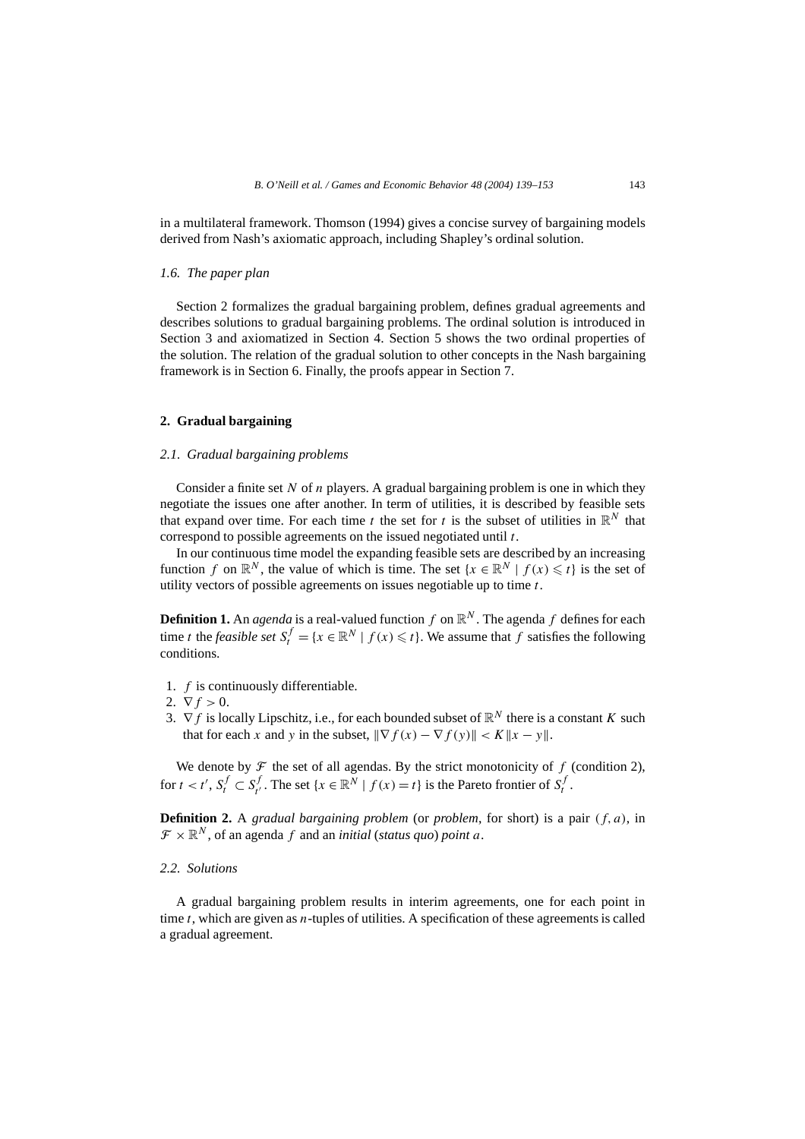in a multilateral framework. Thomson (1994) gives a concise survey of bargaining models derived from Nash's axiomatic approach, including Shapley's ordinal solution.

# *1.6. The paper plan*

Section 2 formalizes the gradual bargaining problem, defines gradual agreements and describes solutions to gradual bargaining problems. The ordinal solution is introduced in Section 3 and axiomatized in Section 4. Section 5 shows the two ordinal properties of the solution. The relation of the gradual solution to other concepts in the Nash bargaining framework is in Section 6. Finally, the proofs appear in Section 7.

#### **2. Gradual bargaining**

## *2.1. Gradual bargaining problems*

Consider a finite set *N* of *n* players. A gradual bargaining problem is one in which they negotiate the issues one after another. In term of utilities, it is described by feasible sets that expand over time. For each time  $t$  the set for  $t$  is the subset of utilities in  $\mathbb{R}^N$  that correspond to possible agreements on the issued negotiated until *t*.

In our continuous time model the expanding feasible sets are described by an increasing function *f* on  $\mathbb{R}^N$ , the value of which is time. The set  $\{x \in \mathbb{R}^N \mid f(x) \leq t\}$  is the set of utility vectors of possible agreements on issues negotiable up to time *t*.

**Definition 1.** An *agenda* is a real-valued function *f* on  $\mathbb{R}^N$ . The agenda *f* defines for each time *t* the *feasible set*  $S_t^f = \{x \in \mathbb{R}^N \mid f(x) \leq t\}$ . We assume that *f* satisfies the following conditions.

1. *f* is continuously differentiable.

3.  $\nabla f$  is locally Lipschitz, i.e., for each bounded subset of  $\mathbb{R}^N$  there is a constant *K* such that for each *x* and *y* in the subset,  $\|\nabla f(x) - \nabla f(y)\| < K \|x - y\|$ .

We denote by  $\mathcal F$  the set of all agendas. By the strict monotonicity of  $f$  (condition 2), for  $t < t'$ ,  $S_t^f \subset S_{t'}^f$ . The set  $\{x \in \mathbb{R}^N \mid f(x) = t\}$  is the Pareto frontier of  $S_t^f$ .

**Definition 2.** A *gradual bargaining problem* (or *problem*, for short) is a pair *(f, a)*, in  $\mathcal{F} \times \mathbb{R}^N$ , of an agenda *f* and an *initial* (*status quo*) *point a*.

#### *2.2. Solutions*

A gradual bargaining problem results in interim agreements, one for each point in time *t*, which are given as *n*-tuples of utilities. A specification of these agreements is called a gradual agreement.

<sup>2.</sup>  $\nabla f > 0$ .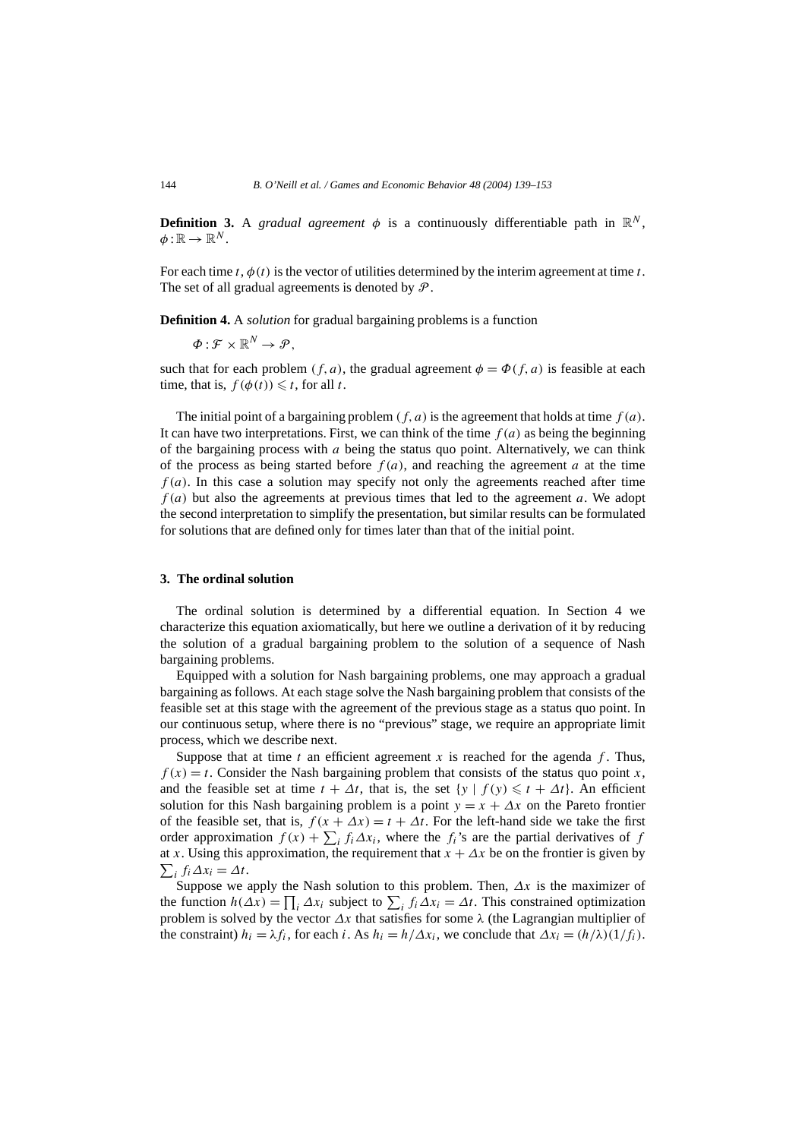**Definition 3.** A *gradual agreement*  $\phi$  is a continuously differentiable path in  $\mathbb{R}^N$ ,  $\phi:\mathbb{R}\to\mathbb{R}^N$ .

For each time  $t$ ,  $\phi(t)$  is the vector of utilities determined by the interim agreement at time  $t$ . The set of all gradual agreements is denoted by  $P$ .

**Definition 4.** A *solution* for gradual bargaining problems is a function

 $\Phi: \mathcal{F} \times \mathbb{R}^N \to \mathcal{P}$ ,

such that for each problem  $(f, a)$ , the gradual agreement  $\phi = \Phi(f, a)$  is feasible at each time, that is,  $f(\phi(t)) \leq t$ , for all *t*.

The initial point of a bargaining problem *(f, a)* is the agreement that holds at time *f (a)*. It can have two interpretations. First, we can think of the time  $f(a)$  as being the beginning of the bargaining process with *a* being the status quo point. Alternatively, we can think of the process as being started before  $f(a)$ , and reaching the agreement *a* at the time *f (a)*. In this case a solution may specify not only the agreements reached after time *f (a)* but also the agreements at previous times that led to the agreement *a*. We adopt the second interpretation to simplify the presentation, but similar results can be formulated for solutions that are defined only for times later than that of the initial point.

#### **3. The ordinal solution**

The ordinal solution is determined by a differential equation. In Section 4 we characterize this equation axiomatically, but here we outline a derivation of it by reducing the solution of a gradual bargaining problem to the solution of a sequence of Nash bargaining problems.

Equipped with a solution for Nash bargaining problems, one may approach a gradual bargaining as follows. At each stage solve the Nash bargaining problem that consists of the feasible set at this stage with the agreement of the previous stage as a status quo point. In our continuous setup, where there is no "previous" stage, we require an appropriate limit process, which we describe next.

Suppose that at time  $t$  an efficient agreement  $x$  is reached for the agenda  $f$ . Thus,  $f(x) = t$ . Consider the Nash bargaining problem that consists of the status quo point *x*, and the feasible set at time  $t + \Delta t$ , that is, the set  $\{y \mid f(y) \leq t + \Delta t\}$ . An efficient solution for this Nash bargaining problem is a point  $y = x + \Delta x$  on the Pareto frontier of the feasible set, that is,  $f(x + \Delta x) = t + \Delta t$ . For the left-hand side we take the first order approximation  $f(x) + \sum_i f_i \Delta x_i$ , where the *f<sub>i</sub>*'s are the partial derivatives of *f*  $\sum_i f_i \Delta x_i = \Delta t.$ at *x*. Using this approximation, the requirement that  $x + \Delta x$  be on the frontier is given by

Suppose we apply the Nash solution to this problem. Then, *∆x* is the maximizer of the function  $h(\Delta x) = \prod_i \Delta x_i$  subject to  $\sum_i f_i \Delta x_i = \Delta t$ . This constrained optimization problem is solved by the vector *∆x* that satisfies for some *λ* (the Lagrangian multiplier of the constraint)  $h_i = \lambda f_i$ , for each *i*. As  $h_i = h/\Delta x_i$ , we conclude that  $\Delta x_i = (h/\lambda)(1/f_i)$ .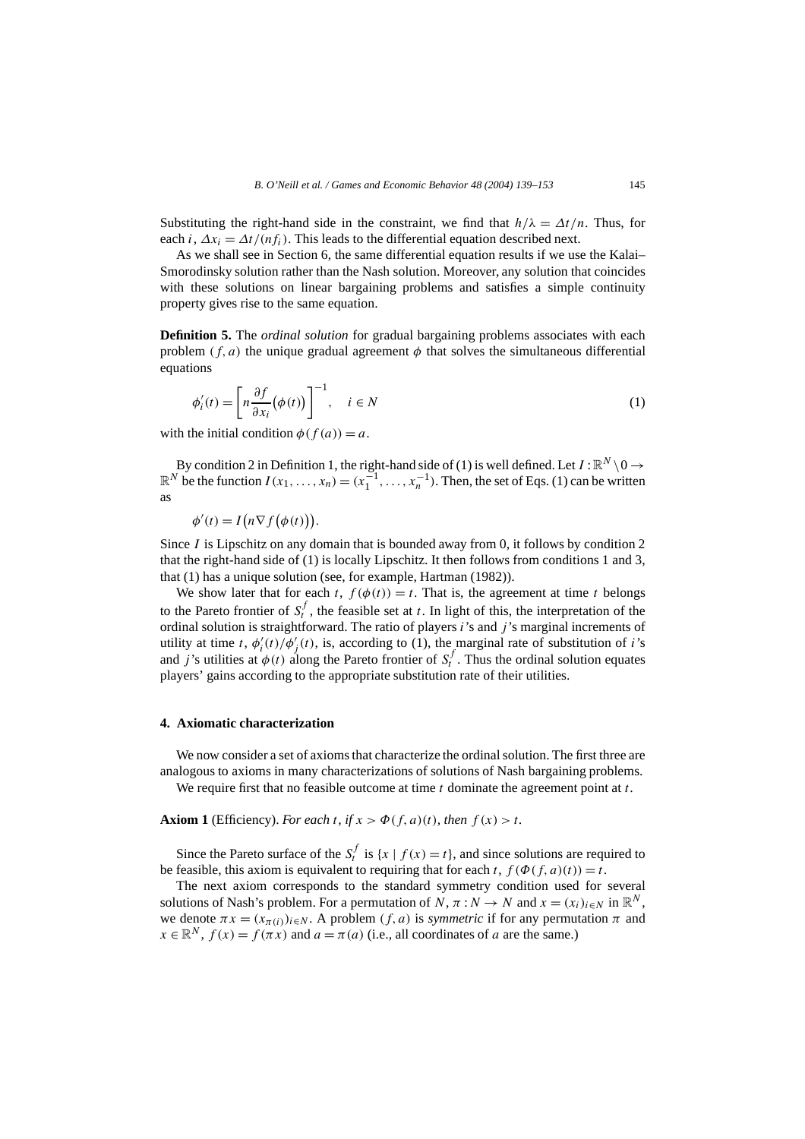Substituting the right-hand side in the constraint, we find that  $h/\lambda = \Delta t/n$ . Thus, for each *i*,  $\Delta x_i = \Delta t / (n f_i)$ . This leads to the differential equation described next.

As we shall see in Section 6, the same differential equation results if we use the Kalai– Smorodinsky solution rather than the Nash solution. Moreover, any solution that coincides with these solutions on linear bargaining problems and satisfies a simple continuity property gives rise to the same equation.

**Definition 5.** The *ordinal solution* for gradual bargaining problems associates with each problem  $(f, a)$  the unique gradual agreement  $\phi$  that solves the simultaneous differential equations

$$
\phi_i'(t) = \left[ n \frac{\partial f}{\partial x_i} \big( \phi(t) \big) \right]^{-1}, \quad i \in N
$$
\n(1)

with the initial condition  $\phi(f(a)) = a$ .

By condition 2 in Definition 1, the right-hand side of (1) is well defined. Let  $I : \mathbb{R}^N \setminus 0 \rightarrow$  $\mathbb{R}^N$  be the function  $I(x_1, \ldots, x_n) = (x_1^{-1}, \ldots, x_n^{-1})$ . Then, the set of Eqs. (1) can be written as

$$
\phi'(t) = I\big(n\nabla f\big(\phi(t)\big)\big).
$$

Since *I* is Lipschitz on any domain that is bounded away from 0, it follows by condition 2 that the right-hand side of (1) is locally Lipschitz. It then follows from conditions 1 and 3, that (1) has a unique solution (see, for example, Hartman (1982)).

We show later that for each *t*,  $f(\phi(t)) = t$ . That is, the agreement at time *t* belongs to the Pareto frontier of  $S_t^f$ , the feasible set at *t*. In light of this, the interpretation of the ordinal solution is straightforward. The ratio of players *i*'s and *j* 's marginal increments of utility at time *t*,  $\phi'_i(t)/\phi'_j(t)$ , is, according to (1), the marginal rate of substitution of *i*'s and *j*'s utilities at  $\phi(t)$  along the Pareto frontier of  $S_t^f$ . Thus the ordinal solution equates players' gains according to the appropriate substitution rate of their utilities.

#### **4. Axiomatic characterization**

We now consider a set of axioms that characterize the ordinal solution. The first three are analogous to axioms in many characterizations of solutions of Nash bargaining problems.

We require first that no feasible outcome at time *t* dominate the agreement point at *t*.

**Axiom 1** (Efficiency). *For each t, if*  $x > \Phi(f, a)(t)$ *, then*  $f(x) > t$ *.* 

Since the Pareto surface of the  $S_t^f$  is  $\{x \mid f(x) = t\}$ , and since solutions are required to be feasible, this axiom is equivalent to requiring that for each *t*,  $f(\Phi(f, a)(t)) = t$ .

The next axiom corresponds to the standard symmetry condition used for several solutions of Nash's problem. For a permutation of *N*,  $\pi : N \to N$  and  $x = (x_i)_{i \in N}$  in  $\mathbb{R}^N$ , we denote  $\pi x = (x_{\pi(i)})_{i \in N}$ . A problem *(f, a)* is *symmetric* if for any permutation  $\pi$  and  $x \in \mathbb{R}^N$ ,  $f(x) = f(\pi x)$  and  $a = \pi(a)$  (i.e., all coordinates of *a* are the same.)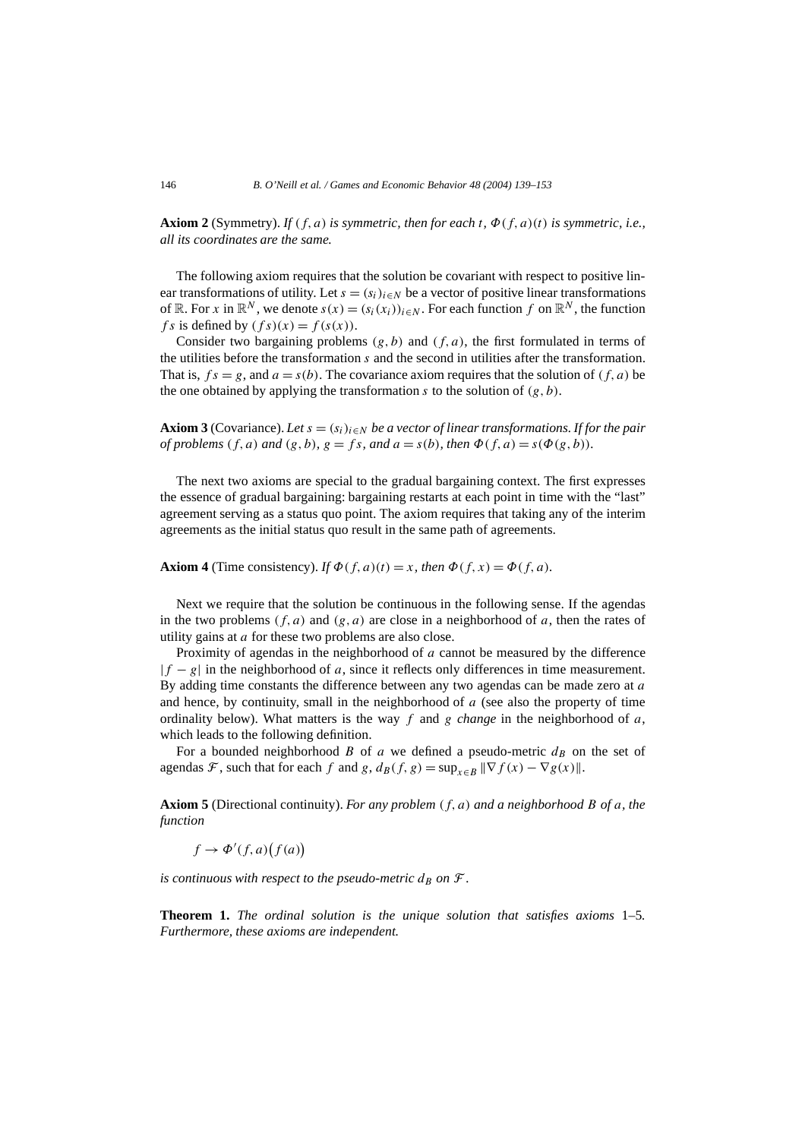**Axiom 2** (Symmetry). *If*  $(f, a)$  *is symmetric, then for each t,*  $\Phi(f, a)(t)$  *is symmetric, i.e., all its coordinates are the same.*

The following axiom requires that the solution be covariant with respect to positive linear transformations of utility. Let  $s = (s_i)_{i \in N}$  be a vector of positive linear transformations of  $\mathbb{R}$ . For *x* in  $\mathbb{R}^N$ , we denote  $s(x) = (s_i(x_i))_{i \in N}$ . For each function *f* on  $\mathbb{R}^N$ , the function *f s* is defined by  $(f s)(x) = f(s(x))$ .

Consider two bargaining problems *(g, b)* and *(f, a)*, the first formulated in terms of the utilities before the transformation *s* and the second in utilities after the transformation. That is,  $fs = g$ , and  $a = s(b)$ . The covariance axiom requires that the solution of  $(f, a)$  be the one obtained by applying the transformation *s* to the solution of *(g, b)*.

**Axiom 3** (Covariance). Let  $s = (s_i)_{i \in N}$  be a vector of linear transformations. If for the pair *of problems*  $(f, a)$  *and*  $(g, b)$ *,*  $g = fs$ *, and*  $a = s(b)$ *, then*  $\Phi(f, a) = s(\Phi(g, b))$ *.* 

The next two axioms are special to the gradual bargaining context. The first expresses the essence of gradual bargaining: bargaining restarts at each point in time with the "last" agreement serving as a status quo point. The axiom requires that taking any of the interim agreements as the initial status quo result in the same path of agreements.

**Axiom 4** (Time consistency). *If*  $\Phi(f, a)(t) = x$ *, then*  $\Phi(f, x) = \Phi(f, a)$ *.* 

Next we require that the solution be continuous in the following sense. If the agendas in the two problems *(f, a)* and *(g, a)* are close in a neighborhood of *a*, then the rates of utility gains at *a* for these two problems are also close.

Proximity of agendas in the neighborhood of *a* cannot be measured by the difference |*f* − *g*| in the neighborhood of *a*, since it reflects only differences in time measurement. By adding time constants the difference between any two agendas can be made zero at *a* and hence, by continuity, small in the neighborhood of *a* (see also the property of time ordinality below). What matters is the way *f* and *g change* in the neighborhood of *a*, which leads to the following definition.

For a bounded neighborhood  $B$  of  $a$  we defined a pseudo-metric  $d<sub>B</sub>$  on the set of agendas F, such that for each f and  $g$ ,  $d_B(f, g) = \sup_{x \in B} ||\nabla f(x) - \nabla g(x)||$ .

**Axiom 5** (Directional continuity). *For any problem (f, a) and a neighborhood B of a, the function*

 $f \rightarrow \Phi'(f, a) (f(a))$ 

*is continuous with respect to the pseudo-metric*  $d_B$  *on*  $\mathcal{F}$ *.* 

**Theorem 1.** *The ordinal solution is the unique solution that satisfies axioms* 1–5*. Furthermore, these axioms are independent.*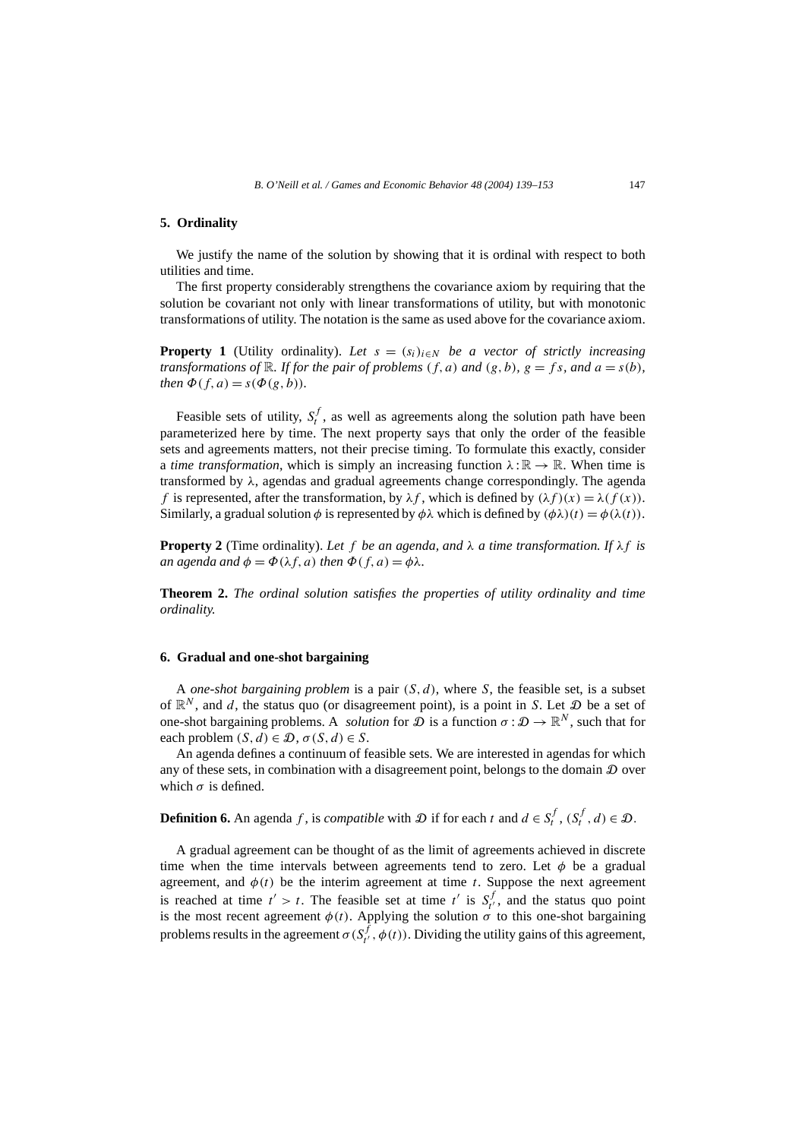#### **5. Ordinality**

We justify the name of the solution by showing that it is ordinal with respect to both utilities and time.

The first property considerably strengthens the covariance axiom by requiring that the solution be covariant not only with linear transformations of utility, but with monotonic transformations of utility. The notation is the same as used above for the covariance axiom.

**Property 1** (Utility ordinality). Let  $s = (s_i)_{i \in N}$  be a vector of strictly increasing *transformations of*  $\mathbb{R}$ *. If for the pair of problems*  $(f, a)$  *and*  $(g, b)$ *,*  $g = fs$ *, and*  $a = s(b)$ *, then*  $\Phi(f, a) = s(\Phi(g, b))$ *.* 

Feasible sets of utility,  $S_t^f$ , as well as agreements along the solution path have been parameterized here by time. The next property says that only the order of the feasible sets and agreements matters, not their precise timing. To formulate this exactly, consider a *time transformation*, which is simply an increasing function  $\lambda : \mathbb{R} \to \mathbb{R}$ . When time is transformed by  $\lambda$ , agendas and gradual agreements change correspondingly. The agenda *f* is represented, after the transformation, by  $\lambda f$ , which is defined by  $(\lambda f)(x) = \lambda (f(x))$ . Similarly, a gradual solution  $\phi$  is represented by  $\phi\lambda$  which is defined by  $(\phi\lambda)(t) = \phi(\lambda(t))$ .

**Property 2** (Time ordinality). Let f be an agenda, and  $\lambda$  a time transformation. If  $\lambda f$  is *an agenda and*  $\phi = \Phi(\lambda f, a)$  *then*  $\Phi(f, a) = \phi \lambda$ *.* 

**Theorem 2.** *The ordinal solution satisfies the properties of utility ordinality and time ordinality.*

#### **6. Gradual and one-shot bargaining**

A *one-shot bargaining problem* is a pair *(S, d)*, where *S*, the feasible set, is a subset of  $\mathbb{R}^N$ , and *d*, the status quo (or disagreement point), is a point in *S*. Let *D* be a set of one-shot bargaining problems. A *solution* for  $\hat{\mathcal{D}}$  is a function  $\sigma : \mathcal{D} \to \mathbb{R}^N$ , such that for each problem  $(S, d) \in \mathcal{D}, \sigma(S, d) \in S$ .

An agenda defines a continuum of feasible sets. We are interested in agendas for which any of these sets, in combination with a disagreement point, belongs to the domain  $D$  over which  $\sigma$  is defined.

**Definition 6.** An agenda *f*, is *compatible* with  $D$  if for each *t* and  $d \in S_t^f$ ,  $(S_t^f, d) \in D$ .

A gradual agreement can be thought of as the limit of agreements achieved in discrete time when the time intervals between agreements tend to zero. Let  $\phi$  be a gradual agreement, and  $\phi(t)$  be the interim agreement at time *t*. Suppose the next agreement is reached at time  $t' > t$ . The feasible set at time  $t'$  is  $S_t^f$ , and the status quo point is the most recent agreement  $\phi(t)$ . Applying the solution  $\sigma$  to this one-shot bargaining problems results in the agreement  $\sigma(S_f^f, \phi(t))$ . Dividing the utility gains of this agreement,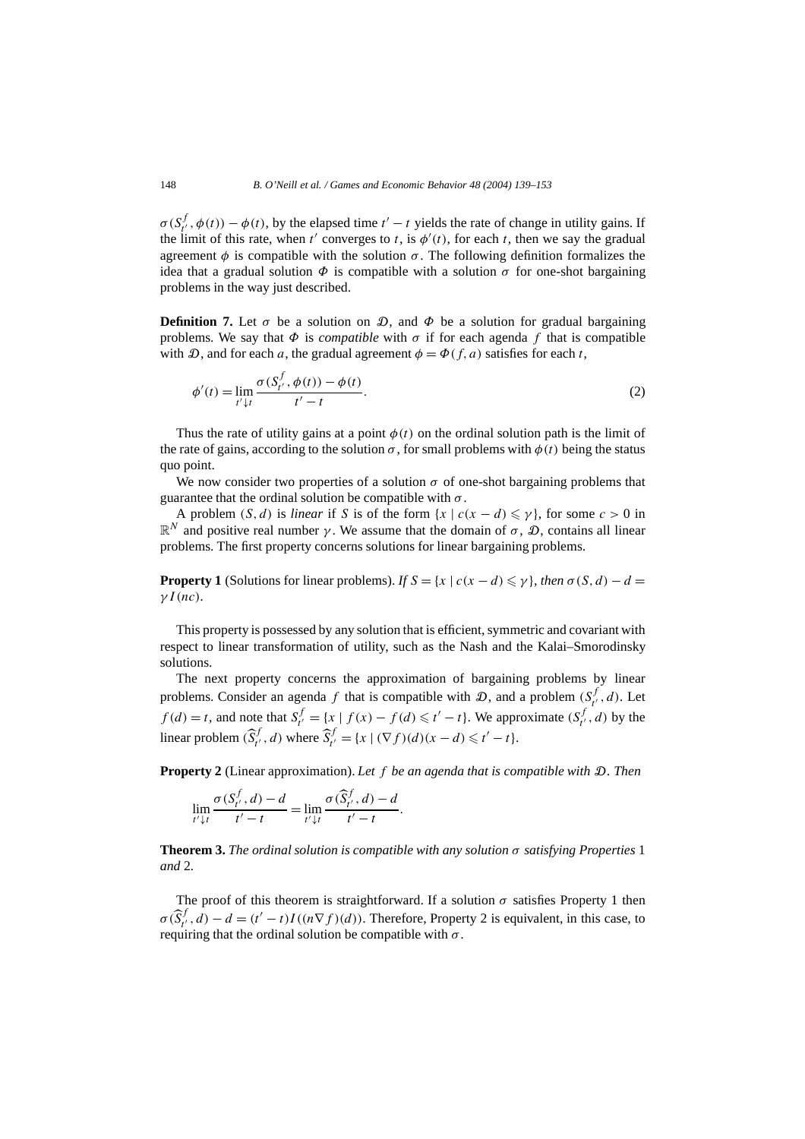$\sigma(S_{t'}^f, \phi(t)) - \phi(t)$ , by the elapsed time  $t' - t$  yields the rate of change in utility gains. If the limit of this rate, when  $t'$  converges to  $t$ , is  $\phi'(t)$ , for each  $t$ , then we say the gradual agreement  $\phi$  is compatible with the solution  $\sigma$ . The following definition formalizes the idea that a gradual solution  $\Phi$  is compatible with a solution  $\sigma$  for one-shot bargaining problems in the way just described.

**Definition 7.** Let  $\sigma$  be a solution on  $\mathcal{D}$ , and  $\Phi$  be a solution for gradual bargaining problems. We say that  $\Phi$  is *compatible* with  $\sigma$  if for each agenda f that is compatible with D, and for each a, the gradual agreement  $\phi = \Phi(f, a)$  satisfies for each t,

$$
\phi'(t) = \lim_{t' \downarrow t} \frac{\sigma(S_{t'}^f, \phi(t)) - \phi(t)}{t' - t}.
$$
\n(2)

Thus the rate of utility gains at a point  $\phi(t)$  on the ordinal solution path is the limit of the rate of gains, according to the solution  $\sigma$ , for small problems with  $\phi(t)$  being the status quo point.

We now consider two properties of a solution  $\sigma$  of one-shot bargaining problems that guarantee that the ordinal solution be compatible with *σ* .

A problem *(S, d)* is *linear* if *S* is of the form  $\{x \mid c(x - d) \leq \gamma\}$ , for some  $c > 0$  in  $\mathbb{R}^N$  and positive real number *γ*. We assume that the domain of  $\sigma$ , **D**, contains all linear problems. The first property concerns solutions for linear bargaining problems.

**Property 1** (Solutions for linear problems). *If*  $S = \{x \mid c(x - d) \leq \gamma\}$ , then  $\sigma(S, d) - d =$ *γ I (nc).*

This property is possessed by any solution that is efficient, symmetric and covariant with respect to linear transformation of utility, such as the Nash and the Kalai–Smorodinsky solutions.

The next property concerns the approximation of bargaining problems by linear problems. Consider an agenda *f* that is compatible with  $\mathcal{D}$ , and a problem  $(S_t^f, d)$ . Let *f* (*d*) = *t*, and note that  $S^f_{t'} = \{x \mid f(x) - f(d) \leq t' - t\}$ . We approximate  $(S^f_{t'}, d)$  by the linear problem  $(\widehat{S}^f_{t'}, d)$  where  $\widehat{S}^f_{t'} = \{x \mid (\nabla f)(d)(x - d) \leq t' - t\}.$ 

**Property 2** (Linear approximation). *Let f be an agenda that is compatible with* D*. Then*

$$
\lim_{t'\downarrow t} \frac{\sigma(S_{t'}^f, d) - d}{t' - t} = \lim_{t'\downarrow t} \frac{\sigma(\widehat{S}_{t'}^f, d) - d}{t' - t}.
$$

**Theorem 3.** *The ordinal solution is compatible with any solution σ satisfying Properties* 1 *and* 2*.*

The proof of this theorem is straightforward. If a solution  $\sigma$  satisfies Property 1 then  $\sigma(\hat{S}^f_{t'}, d) - d = (t' - t)I((n \nabla f)(d))$ . Therefore, Property 2 is equivalent, in this case, to requiring that the ordinal solution be compatible with *σ* .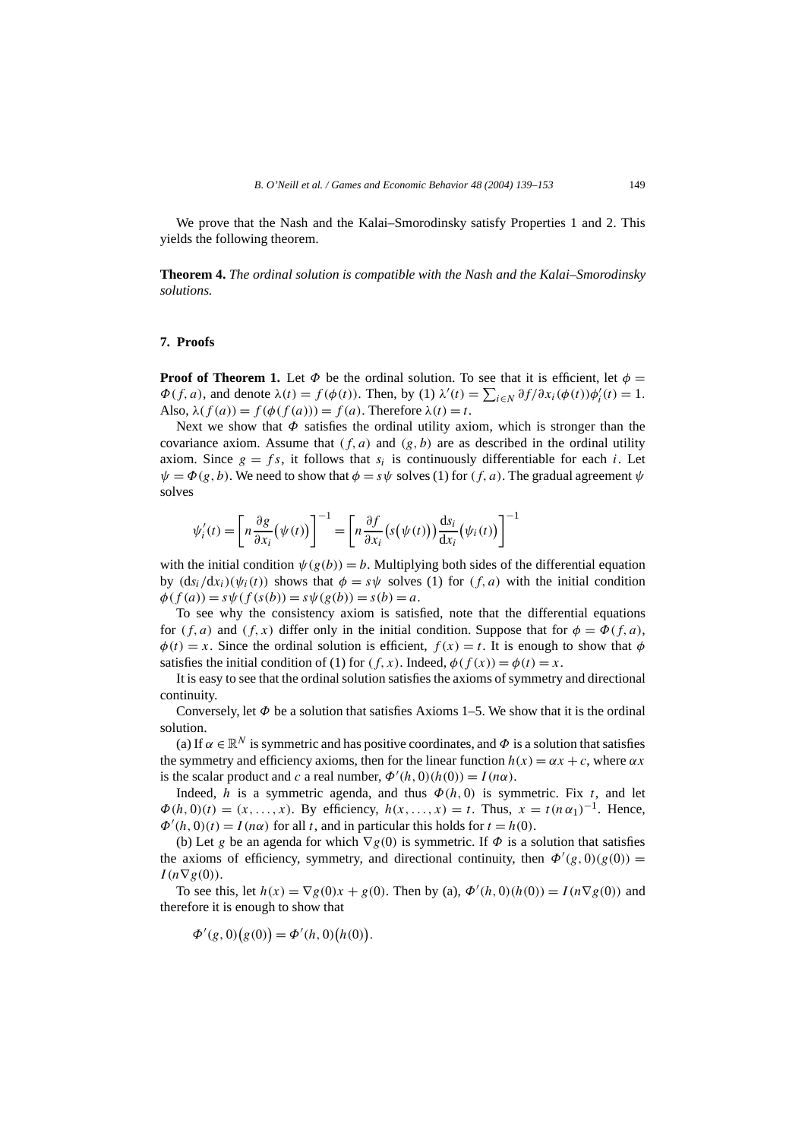We prove that the Nash and the Kalai–Smorodinsky satisfy Properties 1 and 2. This yields the following theorem.

**Theorem 4.** *The ordinal solution is compatible with the Nash and the Kalai–Smorodinsky solutions.*

### **7. Proofs**

**Proof of Theorem 1.** Let  $\Phi$  be the ordinal solution. To see that it is efficient, let  $\phi$  =  $\Phi(f, a)$ , and denote  $\lambda(t) = f(\phi(t))$ . Then, by (1)  $\lambda'(t) = \sum_{i \in N} \frac{\partial f}{\partial x_i}(\phi(t))\phi'_i(t) = 1$ . Also,  $\lambda(f(a)) = f(\phi(f(a))) = f(a)$ . Therefore  $\lambda(t) = t$ .

Next we show that *Φ* satisfies the ordinal utility axiom, which is stronger than the covariance axiom. Assume that  $(f, a)$  and  $(g, b)$  are as described in the ordinal utility axiom. Since  $g = fs$ , it follows that  $s_i$  is continuously differentiable for each *i*. Let  $\psi = \Phi(g, b)$ . We need to show that  $\phi = s\psi$  solves (1) for  $(f, a)$ . The gradual agreement  $\psi$ solves

$$
\psi_i'(t) = \left[ n \frac{\partial g}{\partial x_i}(\psi(t)) \right]^{-1} = \left[ n \frac{\partial f}{\partial x_i} (s(\psi(t))) \frac{\mathrm{d}s_i}{\mathrm{d}x_i} (\psi_i(t)) \right]^{-1}
$$

with the initial condition  $\psi(g(b)) = b$ . Multiplying both sides of the differential equation by  $(d_{\delta_i}/dx_i)(\psi_i(t))$  shows that  $\phi = s\psi$  solves (1) for  $(f, a)$  with the initial condition  $\phi(f(a)) = s\psi(f(s(b)) = s\psi(g(b)) = s(b) = a.$ 

To see why the consistency axiom is satisfied, note that the differential equations for  $(f, a)$  and  $(f, x)$  differ only in the initial condition. Suppose that for  $\phi = \Phi(f, a)$ ,  $\phi(t) = x$ . Since the ordinal solution is efficient,  $f(x) = t$ . It is enough to show that  $\phi$ satisfies the initial condition of (1) for  $(f, x)$ . Indeed,  $\phi(f(x)) = \phi(t) = x$ .

It is easy to see that the ordinal solution satisfies the axioms of symmetry and directional continuity.

Conversely, let  $\Phi$  be a solution that satisfies Axioms 1–5. We show that it is the ordinal solution.

(a) If  $\alpha \in \mathbb{R}^N$  is symmetric and has positive coordinates, and  $\Phi$  is a solution that satisfies the symmetry and efficiency axioms, then for the linear function  $h(x) = \alpha x + c$ , where  $\alpha x$ is the scalar product and *c* a real number,  $\Phi'(h, 0)(h(0)) = I(n\alpha)$ .

Indeed, *h* is a symmetric agenda, and thus  $\Phi(h, 0)$  is symmetric. Fix *t*, and let  $\Phi(h, 0)(t) = (x, \ldots, x)$ . By efficiency,  $h(x, \ldots, x) = t$ . Thus,  $x = t(n\alpha_1)^{-1}$ . Hence,  $\Phi'(h, 0)(t) = I(n\alpha)$  for all *t*, and in particular this holds for  $t = h(0)$ .

(b) Let *g* be an agenda for which  $\nabla g(0)$  is symmetric. If  $\Phi$  is a solution that satisfies the axioms of efficiency, symmetry, and directional continuity, then  $\Phi'(g, 0)(g(0)) =$  $I(n\nabla g(0))$ .

To see this, let  $h(x) = \nabla g(0)x + g(0)$ . Then by (a),  $\Phi'(h, 0)(h(0)) = I(n\nabla g(0))$  and therefore it is enough to show that

$$
\Phi'(g,0)(g(0)) = \Phi'(h,0)(h(0)).
$$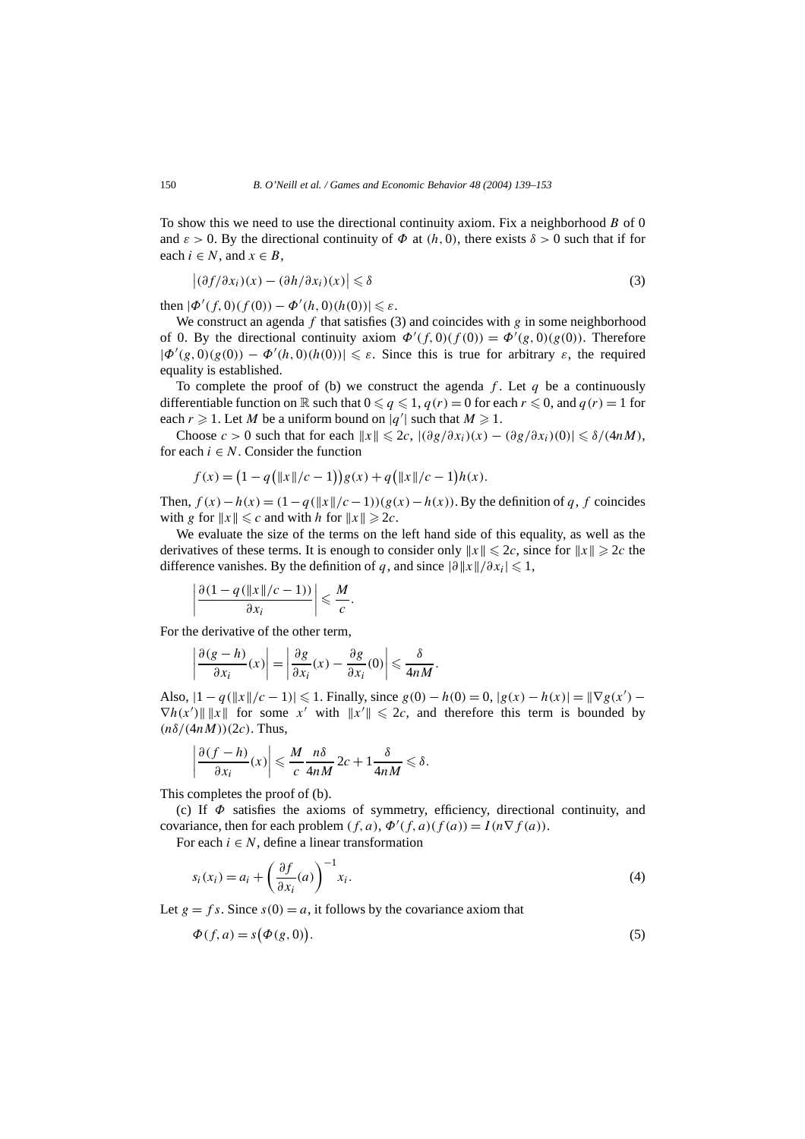To show this we need to use the directional continuity axiom. Fix a neighborhood *B* of 0 and  $\varepsilon > 0$ . By the directional continuity of  $\Phi$  at  $(h, 0)$ , there exists  $\delta > 0$  such that if for each  $i \in N$ , and  $x \in B$ ,

$$
\left| (\partial f/\partial x_i)(x) - (\partial h/\partial x_i)(x) \right| \leq \delta \tag{3}
$$

then  $|\Phi'(f, 0)(f(0)) - \Phi'(h, 0)(h(0))| \le \varepsilon$ .

We construct an agenda  $f$  that satisfies (3) and coincides with  $g$  in some neighborhood of 0. By the directional continuity axiom  $\Phi'(f, 0)(f(0)) = \Phi'(g, 0)(g(0))$ . Therefore  $|\Phi'(g, 0)(g(0)) - \Phi'(h, 0)(h(0))| \le \varepsilon$ . Since this is true for arbitrary  $\varepsilon$ , the required equality is established.

To complete the proof of (b) we construct the agenda  $f$ . Let  $q$  be a continuously differentiable function on R such that  $0 \le q \le 1$ ,  $q(r) = 0$  for each  $r \le 0$ , and  $q(r) = 1$  for each  $r \ge 1$ . Let *M* be a uniform bound on  $|q'|$  such that  $M \ge 1$ .

Choose  $c > 0$  such that for each  $||x|| \le 2c$ ,  $|(\partial g/\partial x_i)(x) - (\partial g/\partial x_i)(0)| \le \delta/(4nM)$ , for each  $i \in N$ . Consider the function

$$
f(x) = (1 - q(\|x\|/c - 1))g(x) + q(\|x\|/c - 1)h(x).
$$

Then,  $f(x) - h(x) = (1 - q(\|x\|/c - 1))(g(x) - h(x))$ . By the definition of *q*, *f* coincides with *g* for  $||x|| \leq c$  and with *h* for  $||x|| \geq 2c$ .

We evaluate the size of the terms on the left hand side of this equality, as well as the derivatives of these terms. It is enough to consider only  $||x|| \le 2c$ , since for  $||x|| \ge 2c$  the difference vanishes. By the definition of *q*, and since  $|\partial ||x|| / \partial x_i| \leq 1$ ,

$$
\left|\frac{\partial (1-q(\|x\|/c-1))}{\partial x_i}\right| \leqslant \frac{M}{c}.
$$

For the derivative of the other term,

$$
\left|\frac{\partial(g-h)}{\partial x_i}(x)\right| = \left|\frac{\partial g}{\partial x_i}(x) - \frac{\partial g}{\partial x_i}(0)\right| \leq \frac{\delta}{4nM}.
$$

Also,  $|1 - q(||x||/c - 1)| \le 1$ . Finally, since  $g(0) - h(0) = 0$ ,  $|g(x) - h(x)| = ||\nabla g(x') \nabla h(x') \|\|x\|$  for some x' with  $\|x'\| \leq 2c$ , and therefore this term is bounded by  $(n\delta/(4nM))(2c)$ . Thus,

$$
\left|\frac{\partial (f-h)}{\partial x_i}(x)\right| \leqslant \frac{M}{c} \frac{n\delta}{4nM} 2c + 1 \frac{\delta}{4nM} \leqslant \delta.
$$

This completes the proof of (b).

(c) If *Φ* satisfies the axioms of symmetry, efficiency, directional continuity, and covariance, then for each problem  $(f, a)$ ,  $\Phi'(f, a)(f(a)) = I(n\nabla f(a))$ .

For each  $i \in N$ , define a linear transformation

$$
s_i(x_i) = a_i + \left(\frac{\partial f}{\partial x_i}(a)\right)^{-1} x_i.
$$
\n<sup>(4)</sup>

Let  $g = fs$ . Since  $s(0) = a$ , it follows by the covariance axiom that

$$
\Phi(f, a) = s(\Phi(g, 0)).\tag{5}
$$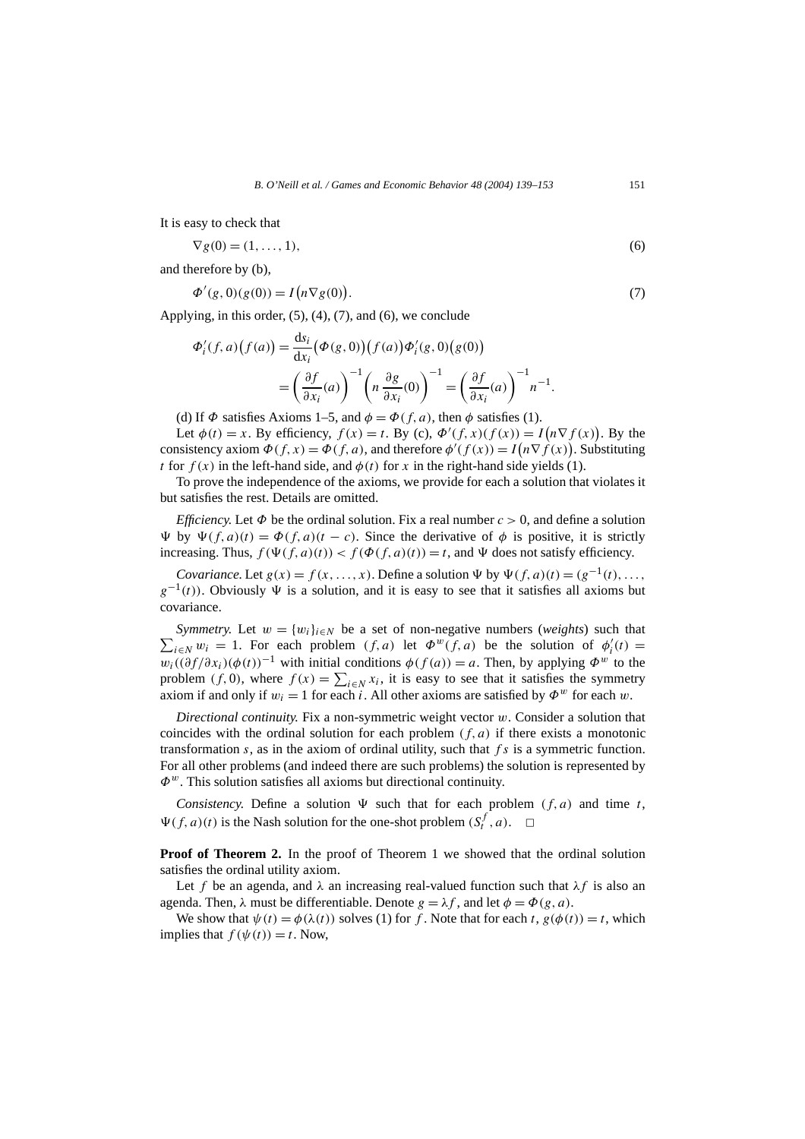It is easy to check that

$$
\nabla g(0) = (1, \dots, 1),\tag{6}
$$

and therefore by (b),

$$
\Phi'(g,0)(g(0)) = I(n\nabla g(0)).
$$
\n(7)

Applying, in this order, (5), (4), (7), and (6), we conclude

$$
\Phi'_i(f, a)(f(a)) = \frac{ds_i}{dx_i} (\Phi(g, 0))(f(a))\Phi'_i(g, 0)(g(0))
$$
  
= 
$$
\left(\frac{\partial f}{\partial x_i}(a)\right)^{-1} \left(n \frac{\partial g}{\partial x_i}(0)\right)^{-1} = \left(\frac{\partial f}{\partial x_i}(a)\right)^{-1} n^{-1}.
$$

(d) If  $\Phi$  satisfies Axioms 1–5, and  $\phi = \Phi(f, a)$ , then  $\phi$  satisfies (1).

Let  $\phi(t) = x$ . By efficiency,  $f(x) = t$ . By (c),  $\phi'(f, x)(f(x)) = I(n\nabla f(x))$ . By the consistency axiom  $\Phi(f, x) = \Phi(f, a)$ , and therefore  $\phi'(f(x)) = I(n \nabla f(x))$ . Substituting *t* for  $f(x)$  in the left-hand side, and  $\phi(t)$  for *x* in the right-hand side yields (1).

To prove the independence of the axioms, we provide for each a solution that violates it but satisfies the rest. Details are omitted.

*Efficiency.* Let  $\Phi$  be the ordinal solution. Fix a real number  $c > 0$ , and define a solution *Ψ* by  $Ψ(f, a)(t) = Φ(f, a)(t - c)$ . Since the derivative of *ϕ* is positive, it is strictly increasing. Thus,  $f(\Psi(f, a)(t)) < f(\Phi(f, a)(t)) = t$ , and  $\Psi$  does not satisfy efficiency.

*Covariance.* Let  $g(x) = f(x, \ldots, x)$ . Define a solution  $\Psi$  by  $\Psi(f, a)(t) = (g^{-1}(t), \ldots,$  $g^{-1}(t)$ ). Obviously  $\Psi$  is a solution, and it is easy to see that it satisfies all axioms but covariance.

 $\sum_{i \in N} w_i = 1$ . For each problem  $(f, a)$  let  $\Phi^w(f, a)$  be the solution of  $\phi_i'(t) =$ *Symmetry.* Let  $w = \{w_i\}_{i \in N}$  be a set of non-negative numbers (*weights*) such that  $w_i((\partial f/\partial x_i)(\phi(t)))^{-1}$  with initial conditions  $\phi(f(a)) = a$ . Then, by applying  $\Phi^w$  to the problem  $(f, 0)$ , where  $f(x) = \sum_{i \in N} x_i$ , it is easy to see that it satisfies the symmetry axiom if and only if  $w_i = 1$  for each *i*. All other axioms are satisfied by  $\Phi^w$  for each *w*.

*Directional continuity.* Fix a non-symmetric weight vector *w*. Consider a solution that coincides with the ordinal solution for each problem  $(f, a)$  if there exists a monotonic transformation *s*, as in the axiom of ordinal utility, such that *f s* is a symmetric function. For all other problems (and indeed there are such problems) the solution is represented by *Φw*. This solution satisfies all axioms but directional continuity.

*Consistency.* Define a solution  $\Psi$  such that for each problem  $(f, a)$  and time *t*,  $\Psi(f, a)(t)$  is the Nash solution for the one-shot problem  $(S_t^f, a)$ .  $\Box$ 

**Proof of Theorem 2.** In the proof of Theorem 1 we showed that the ordinal solution satisfies the ordinal utility axiom.

Let *f* be an agenda, and  $\lambda$  an increasing real-valued function such that  $\lambda f$  is also an agenda. Then,  $\lambda$  must be differentiable. Denote  $g = \lambda f$ , and let  $\phi = \Phi(g, a)$ .

We show that  $\psi(t) = \phi(\lambda(t))$  solves (1) for f. Note that for each t,  $g(\phi(t)) = t$ , which implies that  $f(\psi(t)) = t$ . Now,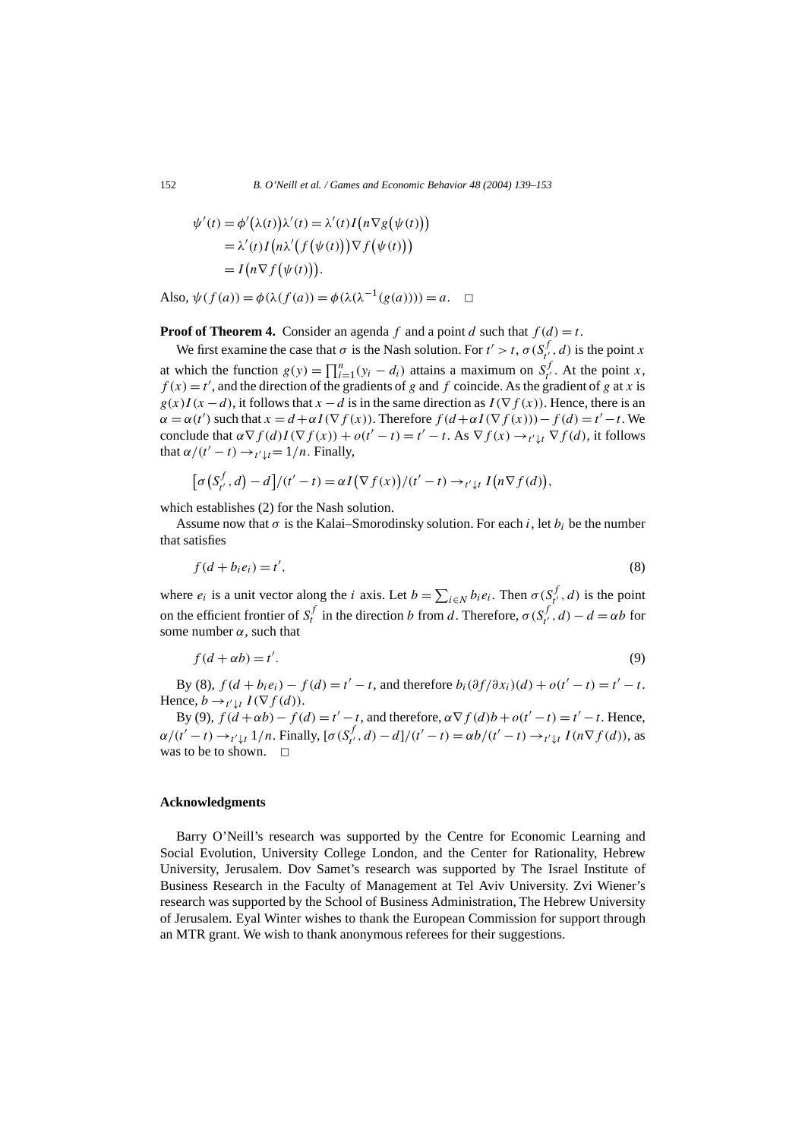$$
\psi'(t) = \phi'(\lambda(t))\lambda'(t) = \lambda'(t)I(n\nabla g(\psi(t)))
$$
  
=  $\lambda'(t)I(n\lambda'(f(\psi(t)))\nabla f(\psi(t)))$   
=  $I(n\nabla f(\psi(t))).$ 

Also,  $\psi(f(a)) = \phi(\lambda(f(a)) = \phi(\lambda(\lambda^{-1}(g(a)))) = a$ .  $\Box$ 

**Proof of Theorem 4.** Consider an agenda  $f$  and a point  $d$  such that  $f(d) = t$ .

We first examine the case that  $\sigma$  is the Nash solution. For  $t' > t$ ,  $\sigma(S_{t'}^f, d)$  is the point *x* at which the function  $g(y) = \prod_{i=1}^{n} (y_i - d_i)$  attains a maximum on  $S_t^f$ . At the point *x*,  $f(x) = t'$ , and the direction of the gradients of *g* and *f* coincide. As the gradient of *g* at *x* is  $g(x)I(x-d)$ , it follows that  $x-d$  is in the same direction as  $I(\nabla f(x))$ . Hence, there is an  $\alpha = \alpha(t')$  such that  $x = d + \alpha I(\nabla f(x))$ . Therefore  $f(d + \alpha I(\nabla f(x))) - f(d) = t' - t$ . We conclude that  $\alpha \nabla f(d)I(\nabla f(x)) + o(t'-t) = t'-t$ . As  $\nabla f(x) \rightarrow t' \downarrow t \nabla f(d)$ , it follows that  $\alpha/(t'-t) \rightarrow t/\sqrt{t} = 1/n$ . Finally,

$$
\left[\sigma\left(S_{t'}^f,d\right)-d\right]/(t'-t)=\alpha I\big(\nabla f(x)\big)/(t'-t)\to_{t'\downarrow t} I\big(n\nabla f(d)\big),
$$

which establishes (2) for the Nash solution.

Assume now that  $\sigma$  is the Kalai–Smorodinsky solution. For each *i*, let  $b_i$  be the number that satisfies

$$
f(d + b_i e_i) = t',\tag{8}
$$

where  $e_i$  is a unit vector along the *i* axis. Let  $b = \sum_{i \in N} b_i e_i$ . Then  $\sigma(S^f_{t'}, d)$  is the point on the efficient frontier of  $S_t^f$  in the direction *b* from *d*. Therefore,  $\sigma(S_{t'}^f, d) - d = \alpha b$  for some number  $\alpha$ , such that

$$
f(d + \alpha b) = t'.\tag{9}
$$

By (8),  $f(d + b_i e_i) - f(d) = t' - t$ , and therefore  $b_i(\partial f/\partial x_i)(d) + o(t' - t) = t' - t$ . Hence,  $b \rightarrow t' \downarrow t} I(\nabla f(d)).$ 

By (9),  $f(d + \alpha b) - f(d) = t' - t$ , and therefore,  $\alpha \nabla f(d)b + o(t' - t) = t' - t$ . Hence,  $\alpha/(t'-t) \to t' \downarrow t$  1/n. Finally,  $[\sigma(S_{t'}^f, d) - d]/(t'-t) = \alpha b/(t'-t) \to t' \downarrow t$  *I*( $n \nabla f(d)$ ), as was to be to shown.  $\square$ 

#### **Acknowledgments**

Barry O'Neill's research was supported by the Centre for Economic Learning and Social Evolution, University College London, and the Center for Rationality, Hebrew University, Jerusalem. Dov Samet's research was supported by The Israel Institute of Business Research in the Faculty of Management at Tel Aviv University. Zvi Wiener's research was supported by the School of Business Administration, The Hebrew University of Jerusalem. Eyal Winter wishes to thank the European Commission for support through an MTR grant. We wish to thank anonymous referees for their suggestions.